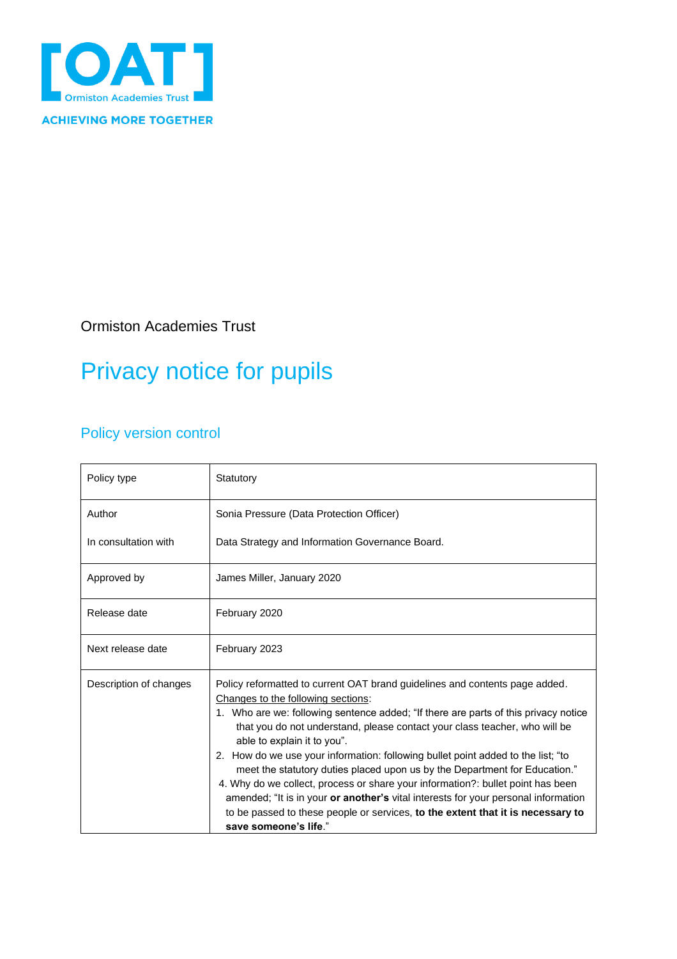

Ormiston Academies Trust

# Privacy notice for pupils

## Policy version control

| Policy type            | Statutory                                                                                                                                                                                                                                                                                                                                                                                                                                                                                                                                                                                                                                                                                                                                                                    |
|------------------------|------------------------------------------------------------------------------------------------------------------------------------------------------------------------------------------------------------------------------------------------------------------------------------------------------------------------------------------------------------------------------------------------------------------------------------------------------------------------------------------------------------------------------------------------------------------------------------------------------------------------------------------------------------------------------------------------------------------------------------------------------------------------------|
| Author                 | Sonia Pressure (Data Protection Officer)                                                                                                                                                                                                                                                                                                                                                                                                                                                                                                                                                                                                                                                                                                                                     |
| In consultation with   | Data Strategy and Information Governance Board.                                                                                                                                                                                                                                                                                                                                                                                                                                                                                                                                                                                                                                                                                                                              |
| Approved by            | James Miller, January 2020                                                                                                                                                                                                                                                                                                                                                                                                                                                                                                                                                                                                                                                                                                                                                   |
| Release date           | February 2020                                                                                                                                                                                                                                                                                                                                                                                                                                                                                                                                                                                                                                                                                                                                                                |
| Next release date      | February 2023                                                                                                                                                                                                                                                                                                                                                                                                                                                                                                                                                                                                                                                                                                                                                                |
| Description of changes | Policy reformatted to current OAT brand guidelines and contents page added.<br>Changes to the following sections:<br>1. Who are we: following sentence added; "If there are parts of this privacy notice<br>that you do not understand, please contact your class teacher, who will be<br>able to explain it to you".<br>2. How do we use your information: following bullet point added to the list; "to<br>meet the statutory duties placed upon us by the Department for Education."<br>4. Why do we collect, process or share your information?: bullet point has been<br>amended; "It is in your or another's vital interests for your personal information<br>to be passed to these people or services, to the extent that it is necessary to<br>save someone's life." |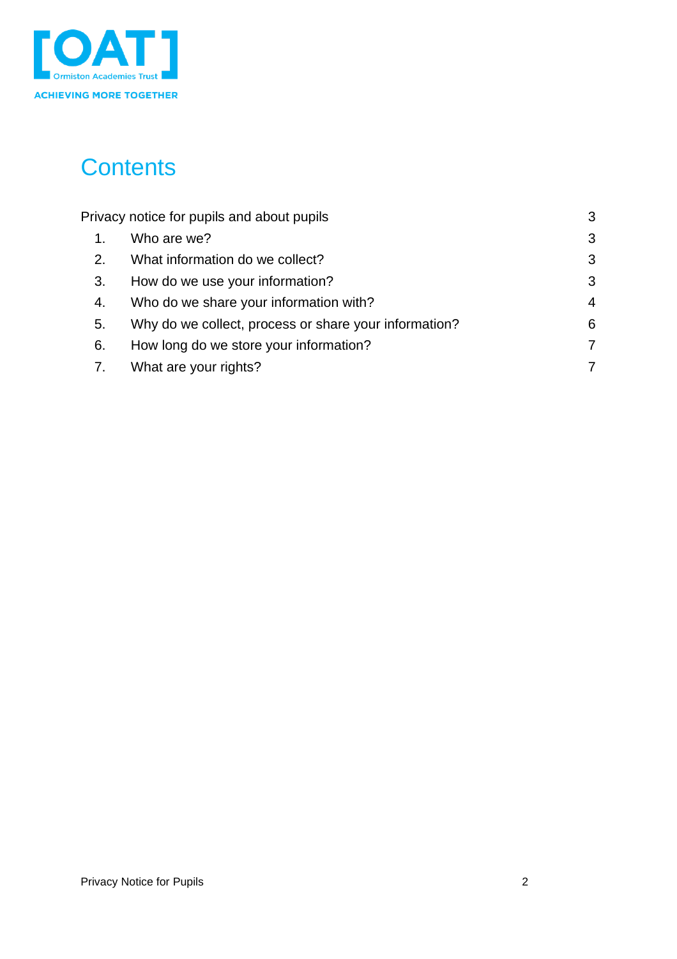

# **Contents**

| Privacy notice for pupils and about pupils |                                                       | 3              |
|--------------------------------------------|-------------------------------------------------------|----------------|
| 1.                                         | Who are we?                                           | 3              |
| 2.                                         | What information do we collect?                       | 3              |
| 3.                                         | How do we use your information?                       | 3              |
| 4.                                         | Who do we share your information with?                | $\overline{4}$ |
| 5.                                         | Why do we collect, process or share your information? | 6              |
| 6.                                         | How long do we store your information?                | 7              |
| 7.                                         | What are your rights?                                 | 7              |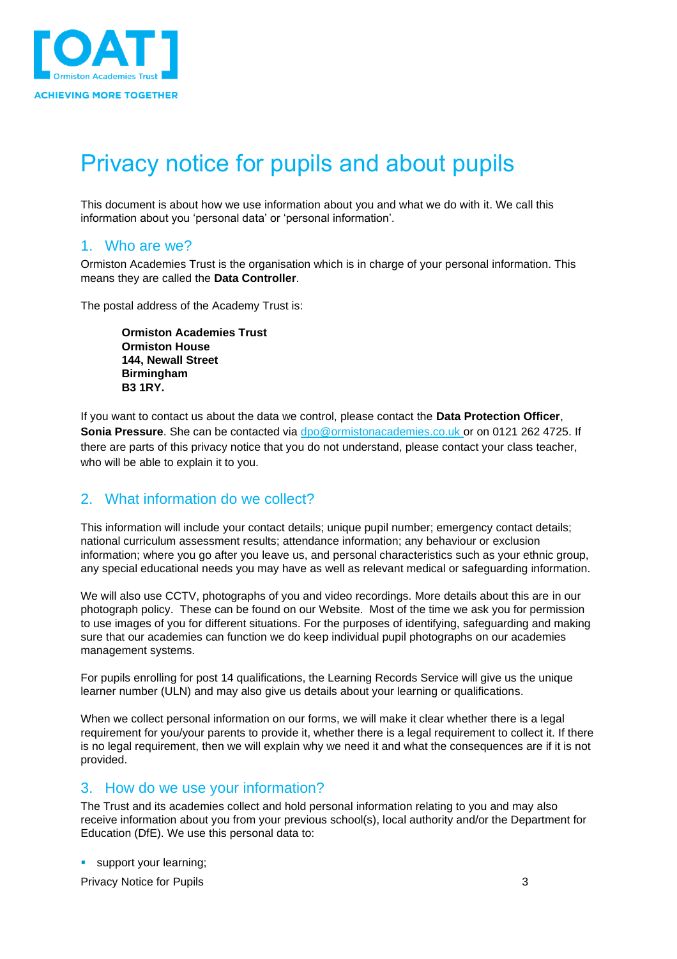

# <span id="page-2-0"></span>Privacy notice for pupils and about pupils

This document is about how we use information about you and what we do with it. We call this information about you 'personal data' or 'personal information'.

#### <span id="page-2-1"></span>1. Who are we?

Ormiston Academies Trust is the organisation which is in charge of your personal information. This means they are called the **Data Controller**.

The postal address of the Academy Trust is:

**Ormiston Academies Trust Ormiston House 144, Newall Street Birmingham B3 1RY.**

If you want to contact us about the data we control, please contact the **Data Protection Officer**, **Sonia Pressure**. She can be contacted via [dpo@ormistonacademies.co.uk](mailto:dpo@ormistonacademies.co.uk) or on 0121 262 4725. If there are parts of this privacy notice that you do not understand, please contact your class teacher, who will be able to explain it to you.

#### <span id="page-2-2"></span>2. What information do we collect?

This information will include your contact details; unique pupil number; emergency contact details; national curriculum assessment results; attendance information; any behaviour or exclusion information; where you go after you leave us, and personal characteristics such as your ethnic group, any special educational needs you may have as well as relevant medical or safeguarding information.

We will also use CCTV, photographs of you and video recordings. More details about this are in our photograph policy. These can be found on our Website. Most of the time we ask you for permission to use images of you for different situations. For the purposes of identifying, safeguarding and making sure that our academies can function we do keep individual pupil photographs on our academies management systems.

For pupils enrolling for post 14 qualifications, the Learning Records Service will give us the unique learner number (ULN) and may also give us details about your learning or qualifications.

When we collect personal information on our forms, we will make it clear whether there is a legal requirement for you/your parents to provide it, whether there is a legal requirement to collect it. If there is no legal requirement, then we will explain why we need it and what the consequences are if it is not provided.

### <span id="page-2-3"></span>3. How do we use your information?

The Trust and its academies collect and hold personal information relating to you and may also receive information about you from your previous school(s), local authority and/or the Department for Education (DfE). We use this personal data to:

**E** support your learning;

Privacy Notice for Pupils 3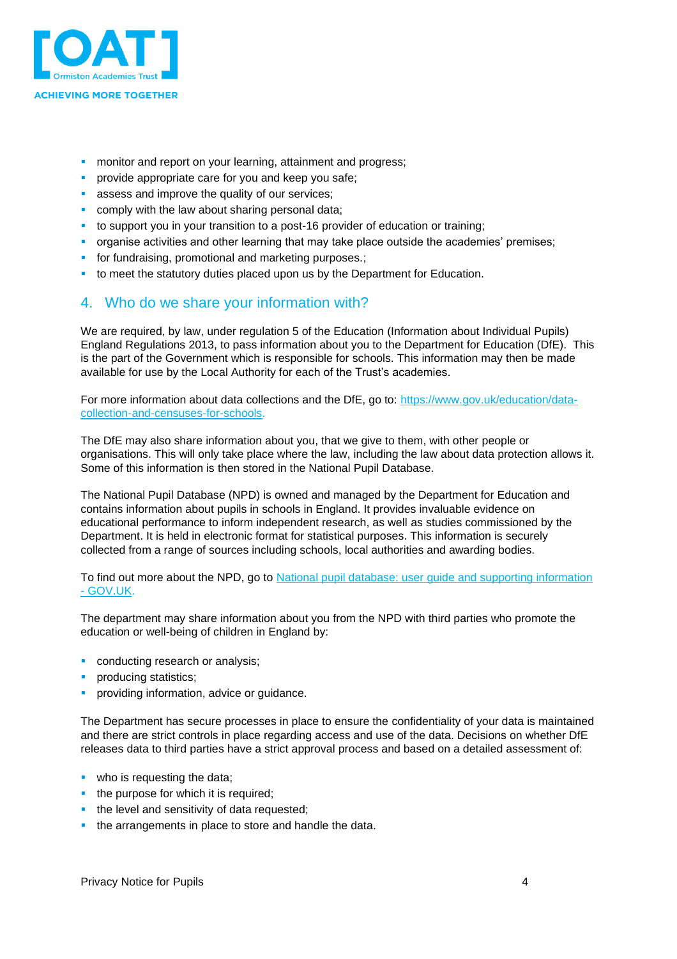

- **monitor and report on your learning, attainment and progress;**
- **•** provide appropriate care for you and keep you safe;
- **EXE** assess and improve the quality of our services;
- **comply with the law about sharing personal data;**
- to support you in your transition to a post-16 provider of education or training;
- **•** organise activities and other learning that may take place outside the academies' premises;
- **•** for fundraising, promotional and marketing purposes.;
- to meet the statutory duties placed upon us by the Department for Education.

#### <span id="page-3-0"></span>4. Who do we share your information with?

We are required, by law, under regulation 5 of the Education (Information about Individual Pupils) England Regulations 2013, to pass information about you to the Department for Education (DfE). This is the part of the Government which is responsible for schools. This information may then be made available for use by the Local Authority for each of the Trust's academies.

For more information about data collections and the DfE, go to: [https://www.gov.uk/education/data](https://www.gov.uk/education/data-collection-and-censuses-for-schools)[collection-and-censuses-for-schools.](https://www.gov.uk/education/data-collection-and-censuses-for-schools)

The DfE may also share information about you, that we give to them, with other people or organisations. This will only take place where the law, including the law about data protection allows it. Some of this information is then stored in the National Pupil Database.

The National Pupil Database (NPD) is owned and managed by the Department for Education and contains information about pupils in schools in England. It provides invaluable evidence on educational performance to inform independent research, as well as studies commissioned by the Department. It is held in electronic format for statistical purposes. This information is securely collected from a range of sources including schools, local authorities and awarding bodies.

To find out more about the NPD, go to National pupil database: user guide and supporting information - [GOV.UK.](https://www.gov.uk/government/publications/national-pupil-database-user-guide-and-supporting-information)

The department may share information about you from the NPD with third parties who promote the education or well-being of children in England by:

- conducting research or analysis;
- producing statistics;
- providing information, advice or quidance.

The Department has secure processes in place to ensure the confidentiality of your data is maintained and there are strict controls in place regarding access and use of the data. Decisions on whether DfE releases data to third parties have a strict approval process and based on a detailed assessment of:

- who is requesting the data;
- the purpose for which it is required;
- **•** the level and sensitivity of data requested;
- **the arrangements in place to store and handle the data.**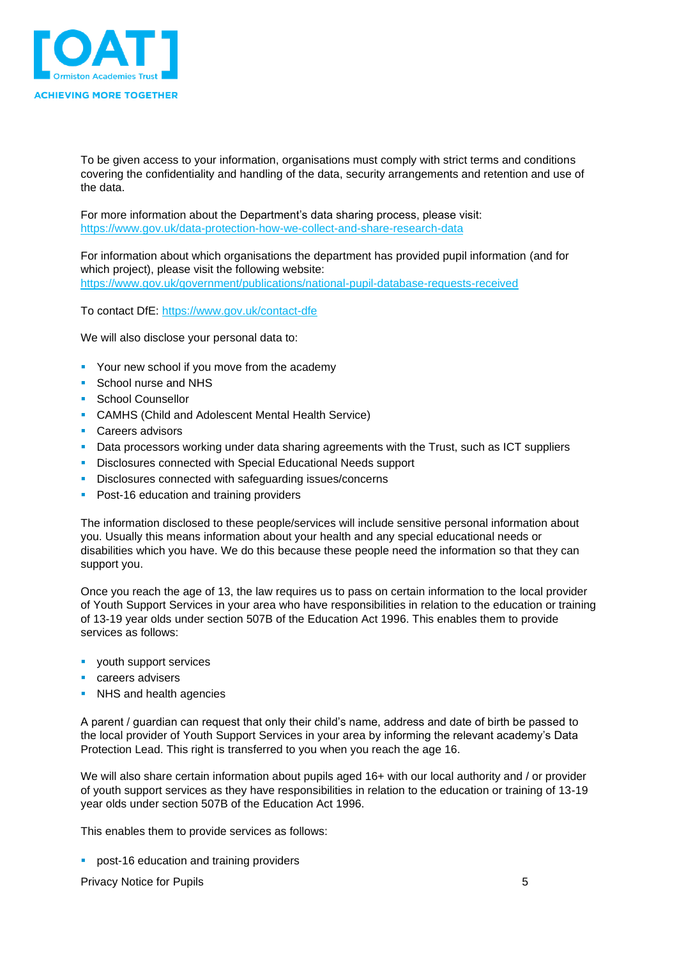

To be given access to your information, organisations must comply with strict terms and conditions covering the confidentiality and handling of the data, security arrangements and retention and use of the data.

For more information about the Department's data sharing process, please visit: <https://www.gov.uk/data-protection-how-we-collect-and-share-research-data>

For information about which organisations the department has provided pupil information (and for which project), please visit the following website: <https://www.gov.uk/government/publications/national-pupil-database-requests-received>

To contact DfE: <https://www.gov.uk/contact-dfe>

We will also disclose your personal data to:

- **Your new school if you move from the academy**
- School nurse and NHS
- School Counsellor
- CAMHS (Child and Adolescent Mental Health Service)
- **•** Careers advisors
- **Data processors working under data sharing agreements with the Trust, such as ICT suppliers**
- Disclosures connected with Special Educational Needs support
- Disclosures connected with safeguarding issues/concerns
- Post-16 education and training providers

The information disclosed to these people/services will include sensitive personal information about you. Usually this means information about your health and any special educational needs or disabilities which you have. We do this because these people need the information so that they can support you.

Once you reach the age of 13, the law requires us to pass on certain information to the local provider of Youth Support Services in your area who have responsibilities in relation to the education or training of 13-19 year olds under section 507B of the Education Act 1996. This enables them to provide services as follows:

- youth support services
- careers advisers
- NHS and health agencies

A parent / guardian can request that only their child's name, address and date of birth be passed to the local provider of Youth Support Services in your area by informing the relevant academy's Data Protection Lead. This right is transferred to you when you reach the age 16.

We will also share certain information about pupils aged 16+ with our local authority and / or provider of youth support services as they have responsibilities in relation to the education or training of 13-19 year olds under section 507B of the Education Act 1996.

This enables them to provide services as follows:

**•** post-16 education and training providers

Privacy Notice for Pupils 5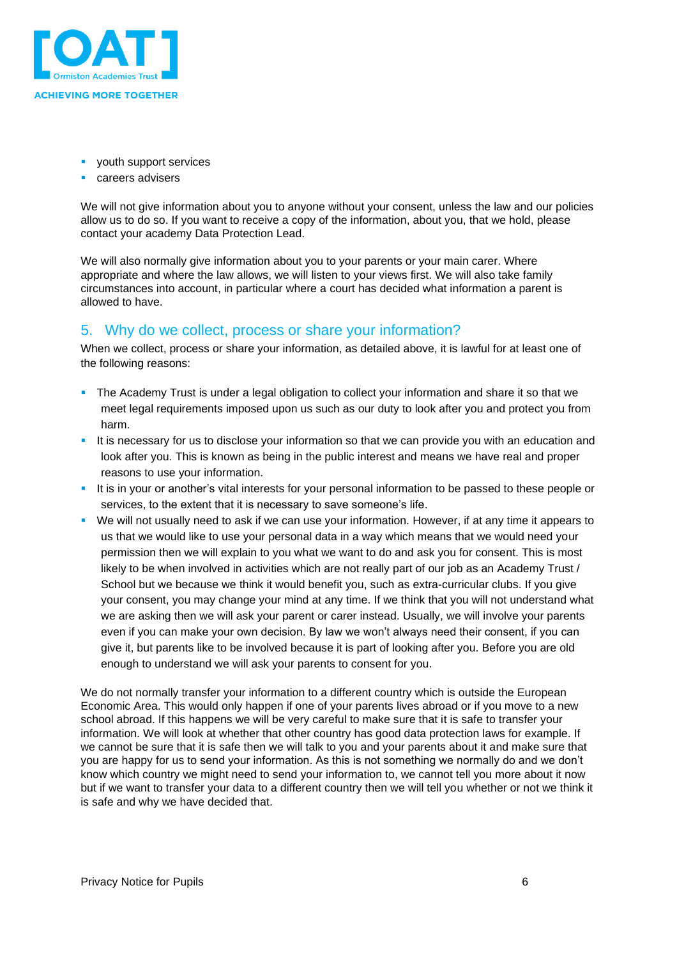

- youth support services
- careers advisers

We will not give information about you to anyone without your consent, unless the law and our policies allow us to do so. If you want to receive a copy of the information, about you, that we hold, please contact your academy Data Protection Lead.

We will also normally give information about you to your parents or your main carer. Where appropriate and where the law allows, we will listen to your views first. We will also take family circumstances into account, in particular where a court has decided what information a parent is allowed to have.

### <span id="page-5-0"></span>5. Why do we collect, process or share your information?

When we collect, process or share your information, as detailed above, it is lawful for at least one of the following reasons:

- **•** The Academy Trust is under a legal obligation to collect your information and share it so that we meet legal requirements imposed upon us such as our duty to look after you and protect you from harm.
- It is necessary for us to disclose your information so that we can provide you with an education and look after you. This is known as being in the public interest and means we have real and proper reasons to use your information.
- It is in your or another's vital interests for your personal information to be passed to these people or services, to the extent that it is necessary to save someone's life.
- We will not usually need to ask if we can use your information. However, if at any time it appears to us that we would like to use your personal data in a way which means that we would need your permission then we will explain to you what we want to do and ask you for consent. This is most likely to be when involved in activities which are not really part of our job as an Academy Trust / School but we because we think it would benefit you, such as extra-curricular clubs. If you give your consent, you may change your mind at any time. If we think that you will not understand what we are asking then we will ask your parent or carer instead. Usually, we will involve your parents even if you can make your own decision. By law we won't always need their consent, if you can give it, but parents like to be involved because it is part of looking after you. Before you are old enough to understand we will ask your parents to consent for you.

We do not normally transfer your information to a different country which is outside the European Economic Area. This would only happen if one of your parents lives abroad or if you move to a new school abroad. If this happens we will be very careful to make sure that it is safe to transfer your information. We will look at whether that other country has good data protection laws for example. If we cannot be sure that it is safe then we will talk to you and your parents about it and make sure that you are happy for us to send your information. As this is not something we normally do and we don't know which country we might need to send your information to, we cannot tell you more about it now but if we want to transfer your data to a different country then we will tell you whether or not we think it is safe and why we have decided that.